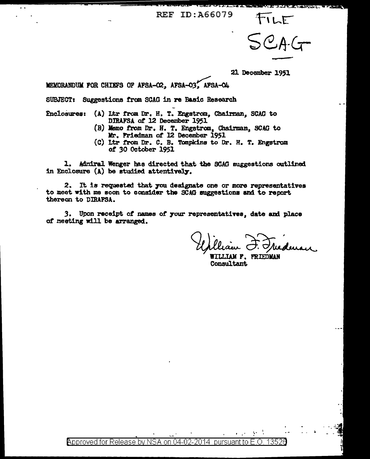FILE<br>SCAG

21 December 1951

**MEMORANDUM FOR CHIEFS OF AFSA-O2, AFSA-O3, AFSA-O4** 

SUBJECT: Suggestions from SCAG in re Basic Research

- finclosures: (A) Ltr from Dr. H. T. Engstrom. Chairman. SCAG to DIRAFSA. *ot* 12 December 1951
	- (B) Memo trom Dr. H. T. Engstraa, Chairman, SCAG to Mr. Friedman of 12 December 1951
	- (C) Ltr from Dr. C. B. Tompkins to Dr. H. T. Engstrom or *30* October 1951

1. Admiral Wenger has directed that the SCAG suggestions outlined in Enclosure  $(A)$  be studied attentively.

2. It is requested that you designate one or more representatives to meet with me soon to conaider the SCAG auggestiona and to report thereon to DIRAFSA.

3. Upon receipt of names of your representatives, date and place of meeting will be arranged.

**WILLIAM F. FRIEDMAN** Consultant

 $\cdots$ 

 $\blacksquare$  Poproved for Release by NSA on 04-02-2014 pursuant to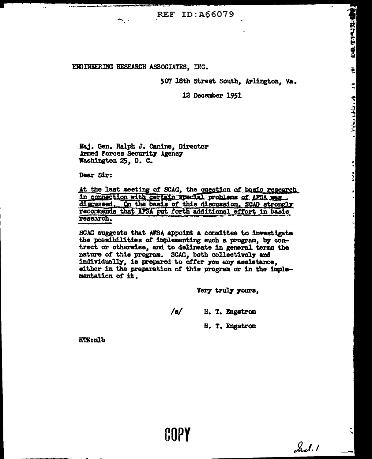## ENGINEERING RESEARCH ASSOCIATES. INC.

507 18th Street South, Arlington, Va.

**HALLMART BRE** 

튉

 $\mathbf{I}$ 

 $\sum_{i=1}^n\sum_{j=1}^n\sum_{j=1}^n\sum_{j=1}^n\sum_{j=1}^n\sum_{j=1}^n\sum_{j=1}^n\sum_{j=1}^n\sum_{j=1}^n\sum_{j=1}^n\sum_{j=1}^n\sum_{j=1}^n\sum_{j=1}^n\sum_{j=1}^n\sum_{j=1}^n\sum_{j=1}^n\sum_{j=1}^n\sum_{j=1}^n\sum_{j=1}^n\sum_{j=1}^n\sum_{j=1}^n\sum_{j=1}^n\sum_{j=1}^n\sum_{j=1}^n\sum_{j$ 

츽 al<br>Al

12 December 1951

Maj. Gen. Ralph J. Canine, Director Armed Forces Security Agency Washington 25, D. C.

Dear Sir:

At the last meeting of SCAG, the question of basic research in connection with certain special problems of AFSA was discussed. On the basis of this discussion, SCAG strongly recornerds that AFSA put forth additional effort in basic research.

SCAC suggests that AFSA appoint a committee to investigate the possibilities of implementing such a program, by contract or otherwise, and to delineate in general terms the nature of this program. SCAG, both collectively and individually, is prepared to offer you any assistance. either in the preparation of this program or in the implementation of it.

HIPY

Very truly yours,

 $/\mathbf{s}/$ H. T. Engstrom

H. T. Engstrom

Ind.1

**HTE:nlb**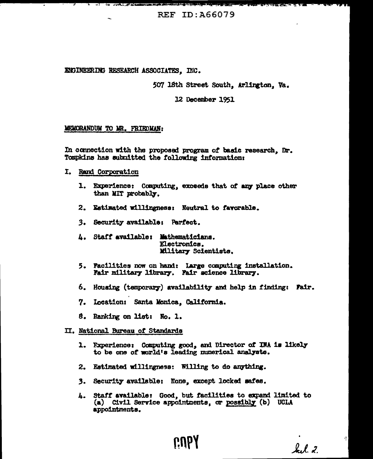ENGINEERING RESEARCH ASSOCIATES. INC.

507 18th Street South, Arlington, Va.

12 December 1951

### MEMORANDUM TO MR. FRIEDMAN:

In connection with the proposed program of basic research, Dr. Tompkins has submitted the following information:

- I. Rand Corporation
	- 1. Experience: Computing, exceeds that of any place other than MIT probably.
	- 2. Estimated willingness: Neutral to favorable.
	- 3. Security available: Perfect.
	- 4. Staff available: Mathematicians. Electronics. Miltary Scientists.
	- 5. Pacilities now on hand: Large computing installation.<br>Fair military library. Pair science library.
	- 6. Housing (temporary) availability and help in finding: Fair.
	- 7. Location: Santa Monica. California.
	- 8. Ranking on list: No. 1.

#### II. National Bureau of Standards

- 1. Experience: Computing good, and Director of INA is likely to be one of world's leading munerical analysts.
- 2. Estimated willingness: Willing to do anything.
- 3. Security available: None, except locked safes.
- 4. Staff available: Good, but facilities to expand limited to (a) Civil Service appointments, or possibly (b) UCLA appointments.

CU<sub>b</sub>

 $k, l, z$ 

ą,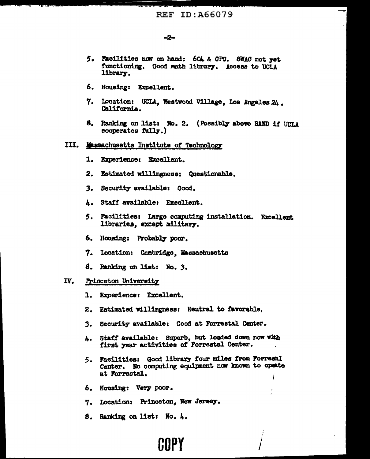# -2-

- 5. Facilities now on hand: 604 & CPC, SWAC not yet functioning. Good math library. Access to UCLA library.
- 6. Housing: Excellent.
- 7. Location: UCLA, Westwood Village, Los Angeles 24. California.
- 8. Ranking on list: No. 2. (Possibly above RAND 1f UCLA cooperates fully.)

# III. Massachusetts Institute of Technology

- 1. Experience: Excellent.
- 2. Estimated willingness: Questionable.
- 3. Security available: Good.
- 4. Staff available: Excellent.
- 5. Pacilities: Large computing installation. Excellent libraries, except military.
- 6. Housing: Probably poor.
- 7. Location: Cambridge, Massachusetts
- 8. Ranking on list: No. 3.

#### IV. Princeton University

- 1. Experience: Excellent.
- 2. Estimated willingness: Neutral to favorable.
- 3. Security available: Good at Forrestal Center.
- 4. Staff available: Superb, but loaded down now with first year activities of Forrestal Center.
- 5. Facilities: Good library four miles from Forrestl Center. No computing equipment now known to opente at Forrestal.
- 6. Housing: Very poor.
- 7. Location: Princeton, New Jersey.
- 8. Ranking on list: No. 4.

# GOPY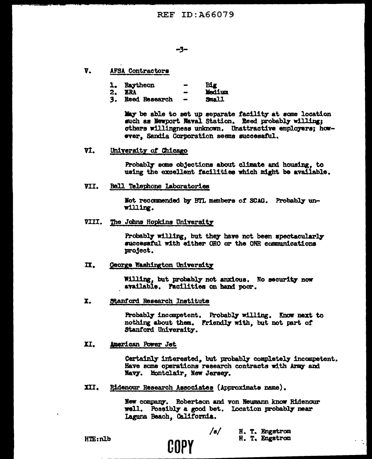- V. **AFSA Contractors** 
	- 1. Raytheon **Big**
	- 2. ERA Medium
	- 3. Reed Research Small

May be able to set up separate facility at some location such as Newport Raval Station. Reed probably willing; others willingness unknown. Unattractive employers; however. Sandia Corporation seems successful.

7I. University of Chicago

> Probably some objections about climate and housing, to using the excellent facilities which might be available.

VII. **Bell Telephone Laboratories** 

> Not recommended by BTL members of SCAG. Probably unwilling.

VIII. The Johns Hopkins University

Probably willing, but they have not been spectacularly successful with either ORO or the ONR communications project.

IX. George Washington University

> Willing, but probably not anxious. No security now available. Facilities on hand poor.

X. Stanford Research Institute

> Probably incompetent. Probably willing. Know next to nothing about them. Friendly with, but not part of Stanford University.

II. American Power Jet

> Certainly interested, but probably completely incompetent. Have some operations research contracts with Army and Navy. Montclair, New Jersey.

XII. Ridenour Research Associates (Approximate name).

COPY

New company. Robertson and von Neumann know Ridenour well. Possibly a good bet. Location probably near Laguna Beach, California.

**HTE:nlb** 

/s/ H. T. Engstrom H. T. Engstron